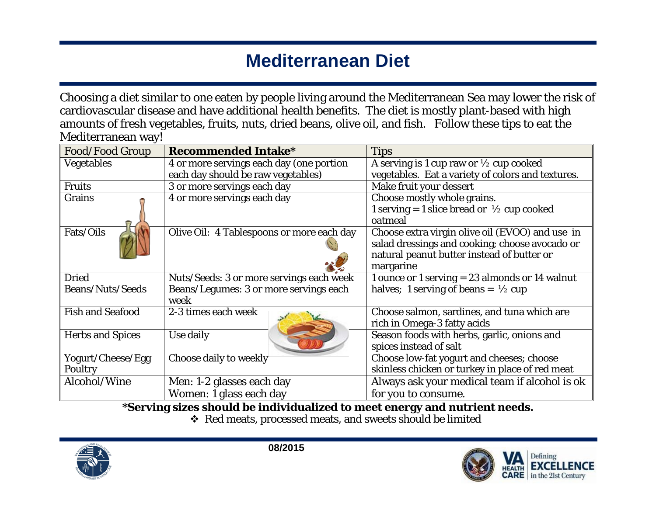# **Mediterranean Diet**

Choosing a diet similar to one eaten by people living around the Mediterranean Sea may lower the risk of cardiovascular disease and have additional health benefits. The diet is mostly plant-based with high amounts of fresh vegetables, fruits, nuts, dried beans, olive oil, and fish. Follow these tips to eat the Mediterranean way!

| <b>Food/Food Group</b>  | <b>Recommended Intake*</b>                | <b>Tips</b>                                           |
|-------------------------|-------------------------------------------|-------------------------------------------------------|
| Vegetables              | 4 or more servings each day (one portion  | A serving is 1 cup raw or $\frac{1}{2}$ cup cooked    |
|                         | each day should be raw vegetables)        | vegetables. Eat a variety of colors and textures.     |
| <b>Fruits</b>           | 3 or more servings each day               | Make fruit your dessert                               |
| Grains                  | 4 or more servings each day               | Choose mostly whole grains.                           |
|                         |                                           | 1 serving = 1 slice bread or $\frac{1}{2}$ cup cooked |
|                         |                                           | oatmeal                                               |
| Fats/Oils               | Olive Oil: 4 Tablespoons or more each day | Choose extra virgin olive oil (EVOO) and use in       |
|                         |                                           | salad dressings and cooking; choose avocado or        |
|                         |                                           | natural peanut butter instead of butter or            |
|                         |                                           | margarine                                             |
| <b>Dried</b>            | Nuts/Seeds: 3 or more servings each week  | 1 ounce or 1 serving $= 23$ almonds or 14 walnut      |
| <b>Beans/Nuts/Seeds</b> | Beans/Legumes: 3 or more servings each    | halves; 1 serving of beans = $\frac{1}{2}$ cup        |
|                         | week                                      |                                                       |
| <b>Fish and Seafood</b> | 2-3 times each week                       | Choose salmon, sardines, and tuna which are           |
|                         |                                           | rich in Omega-3 fatty acids                           |
| <b>Herbs and Spices</b> | Use daily                                 | Season foods with herbs, garlic, onions and           |
|                         |                                           | spices instead of salt                                |
| Yogurt/Cheese/Egg       | Choose daily to weekly                    | Choose low-fat yogurt and cheeses; choose             |
| Poultry                 |                                           | skinless chicken or turkey in place of red meat       |
| Alcohol/Wine            | Men: 1-2 glasses each day                 | Always ask your medical team if alcohol is ok         |
|                         | Women: 1 glass each day                   | for you to consume.                                   |

**\*Serving sizes should be individualized to meet energy and nutrient needs.**

Red meats, processed meats, and sweets should be limited



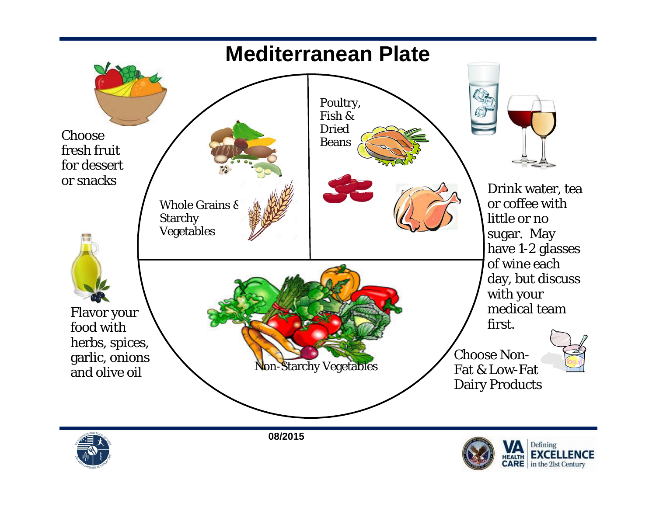